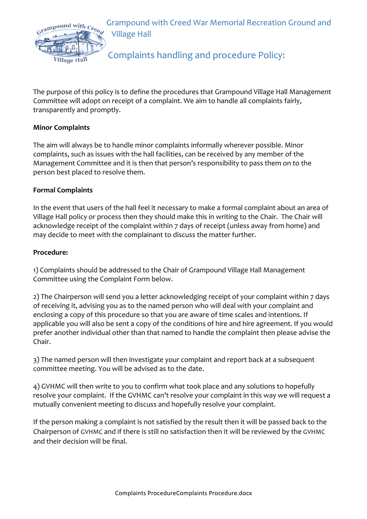

Grampound with Creed War Memorial Recreation Ground and **Village Hall** 

# Complaints handling and procedure Policy:

The purpose of this policy is to define the procedures that Grampound Village Hall Management Committee will adopt on receipt of a complaint. We aim to handle all complaints fairly, transparently and promptly.

## **Minor Complaints**

The aim will always be to handle minor complaints informally wherever possible. Minor complaints, such as issues with the hall facilities, can be received by any member of the Management Committee and it is then that person's responsibility to pass them on to the person best placed to resolve them.

### **Formal Complaints**

In the event that users of the hall feel it necessary to make a formal complaint about an area of Village Hall policy or process then they should make this in writing to the Chair. The Chair will acknowledge receipt of the complaint within 7 days of receipt (unless away from home) and may decide to meet with the complainant to discuss the matter further.

### **Procedure:**

1) Complaints should be addressed to the Chair of Grampound Village Hall Management Committee using the Complaint Form below.

2) The Chairperson will send you a letter acknowledging receipt of your complaint within 7 days of receiving it, advising you as to the named person who will deal with your complaint and enclosing a copy of this procedure so that you are aware of time scales and intentions. If applicable you will also be sent a copy of the conditions of hire and hire agreement. If you would prefer another individual other than that named to handle the complaint then please advise the Chair. 

3) The named person will then investigate your complaint and report back at a subsequent committee meeting. You will be advised as to the date.

4) GVHMC will then write to you to confirm what took place and any solutions to hopefully resolve your complaint. If the GVHMC can't resolve your complaint in this way we will request a mutually convenient meeting to discuss and hopefully resolve your complaint.

If the person making a complaint is not satisfied by the result then it will be passed back to the Chairperson of GVHMC and if there is still no satisfaction then it will be reviewed by the GVHMC and their decision will be final.